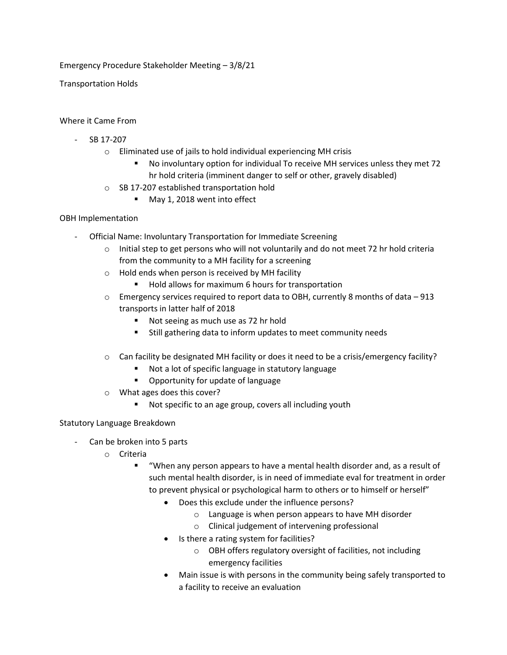Emergency Procedure Stakeholder Meeting – 3/8/21

Transportation Holds

## Where it Came From

- SB 17-207
	- o Eliminated use of jails to hold individual experiencing MH crisis
		- No involuntary option for individual To receive MH services unless they met 72 hr hold criteria (imminent danger to self or other, gravely disabled)
	- o SB 17-207 established transportation hold
		- May 1, 2018 went into effect

## OBH Implementation

- Official Name: Involuntary Transportation for Immediate Screening
	- $\circ$  Initial step to get persons who will not voluntarily and do not meet 72 hr hold criteria from the community to a MH facility for a screening
	- o Hold ends when person is received by MH facility
		- Hold allows for maximum 6 hours for transportation
	- $\circ$  Emergency services required to report data to OBH, currently 8 months of data 913 transports in latter half of 2018
		- Not seeing as much use as 72 hr hold
		- Still gathering data to inform updates to meet community needs
	- $\circ$  Can facility be designated MH facility or does it need to be a crisis/emergency facility?
		- Not a lot of specific language in statutory language
		- Opportunity for update of language
	- o What ages does this cover?
		- Not specific to an age group, covers all including youth

## Statutory Language Breakdown

- Can be broken into 5 parts
	- o Criteria
		- "When any person appears to have a mental health disorder and, as a result of such mental health disorder, is in need of immediate eval for treatment in order to prevent physical or psychological harm to others or to himself or herself"
			- Does this exclude under the influence persons?
				- o Language is when person appears to have MH disorder
				- o Clinical judgement of intervening professional
			- Is there a rating system for facilities?
				- o OBH offers regulatory oversight of facilities, not including emergency facilities
			- Main issue is with persons in the community being safely transported to a facility to receive an evaluation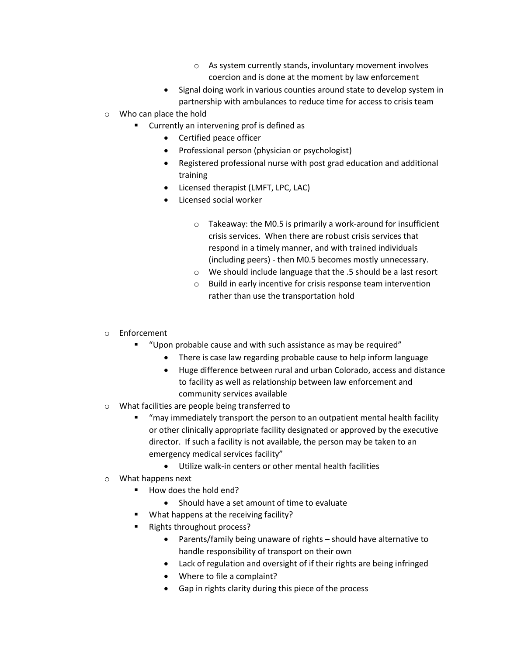- o As system currently stands, involuntary movement involves coercion and is done at the moment by law enforcement
- Signal doing work in various counties around state to develop system in partnership with ambulances to reduce time for access to crisis team
- o Who can place the hold
	- Currently an intervening prof is defined as
		- Certified peace officer
		- Professional person (physician or psychologist)
		- Registered professional nurse with post grad education and additional training
		- Licensed therapist (LMFT, LPC, LAC)
		- Licensed social worker
			- o Takeaway: the M0.5 is primarily a work-around for insufficient crisis services. When there are robust crisis services that respond in a timely manner, and with trained individuals (including peers) - then M0.5 becomes mostly unnecessary.
			- o We should include language that the .5 should be a last resort
			- o Build in early incentive for crisis response team intervention rather than use the transportation hold
- o Enforcement
	- "Upon probable cause and with such assistance as may be required"
		- There is case law regarding probable cause to help inform language
		- Huge difference between rural and urban Colorado, access and distance to facility as well as relationship between law enforcement and community services available
- o What facilities are people being transferred to
	- "may immediately transport the person to an outpatient mental health facility or other clinically appropriate facility designated or approved by the executive director. If such a facility is not available, the person may be taken to an emergency medical services facility"
		- Utilize walk-in centers or other mental health facilities
- o What happens next
	- How does the hold end?
		- Should have a set amount of time to evaluate
	- What happens at the receiving facility?
	- Rights throughout process?
		- Parents/family being unaware of rights should have alternative to handle responsibility of transport on their own
		- Lack of regulation and oversight of if their rights are being infringed
		- Where to file a complaint?
		- Gap in rights clarity during this piece of the process